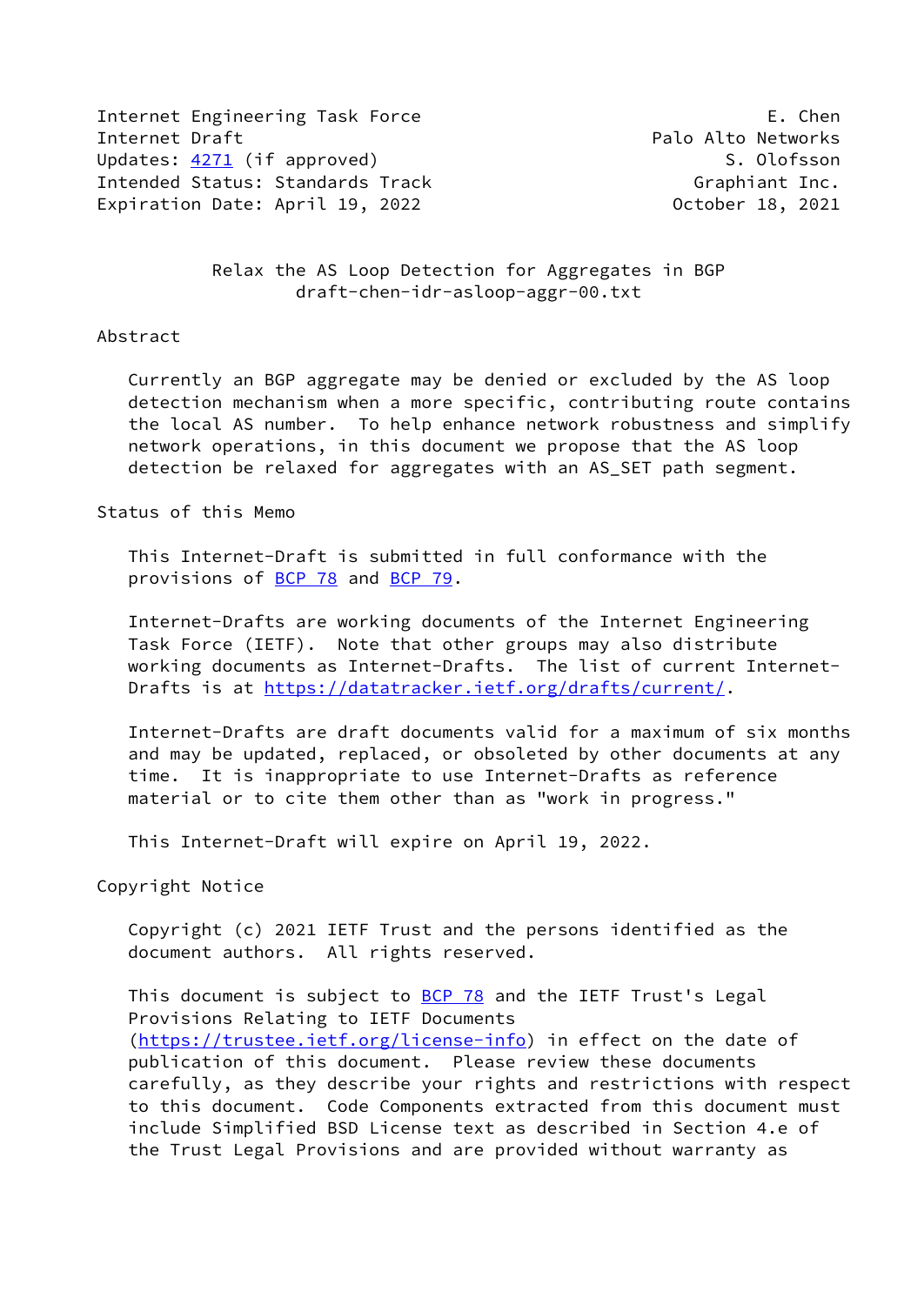Internet Engineering Task Force **E.** Chen Internet Draft **Palo Alto Networks** Palo Alto Networks Updates: [4271](https://datatracker.ietf.org/doc/pdf/rfc4271) (if approved) S. Olofsson Intended Status: Standards Track Graphiant Inc. Expiration Date: April 19, 2022 **Detacher 18, 2021** 

 Relax the AS Loop Detection for Aggregates in BGP draft-chen-idr-asloop-aggr-00.txt

## Abstract

 Currently an BGP aggregate may be denied or excluded by the AS loop detection mechanism when a more specific, contributing route contains the local AS number. To help enhance network robustness and simplify network operations, in this document we propose that the AS loop detection be relaxed for aggregates with an AS\_SET path segment.

Status of this Memo

 This Internet-Draft is submitted in full conformance with the provisions of [BCP 78](https://datatracker.ietf.org/doc/pdf/bcp78) and [BCP 79](https://datatracker.ietf.org/doc/pdf/bcp79).

 Internet-Drafts are working documents of the Internet Engineering Task Force (IETF). Note that other groups may also distribute working documents as Internet-Drafts. The list of current Internet- Drafts is at<https://datatracker.ietf.org/drafts/current/>.

 Internet-Drafts are draft documents valid for a maximum of six months and may be updated, replaced, or obsoleted by other documents at any time. It is inappropriate to use Internet-Drafts as reference material or to cite them other than as "work in progress."

This Internet-Draft will expire on April 19, 2022.

Copyright Notice

 Copyright (c) 2021 IETF Trust and the persons identified as the document authors. All rights reserved.

This document is subject to **[BCP 78](https://datatracker.ietf.org/doc/pdf/bcp78)** and the IETF Trust's Legal Provisions Relating to IETF Documents [\(https://trustee.ietf.org/license-info](https://trustee.ietf.org/license-info)) in effect on the date of publication of this document. Please review these documents carefully, as they describe your rights and restrictions with respect to this document. Code Components extracted from this document must include Simplified BSD License text as described in Section 4.e of the Trust Legal Provisions and are provided without warranty as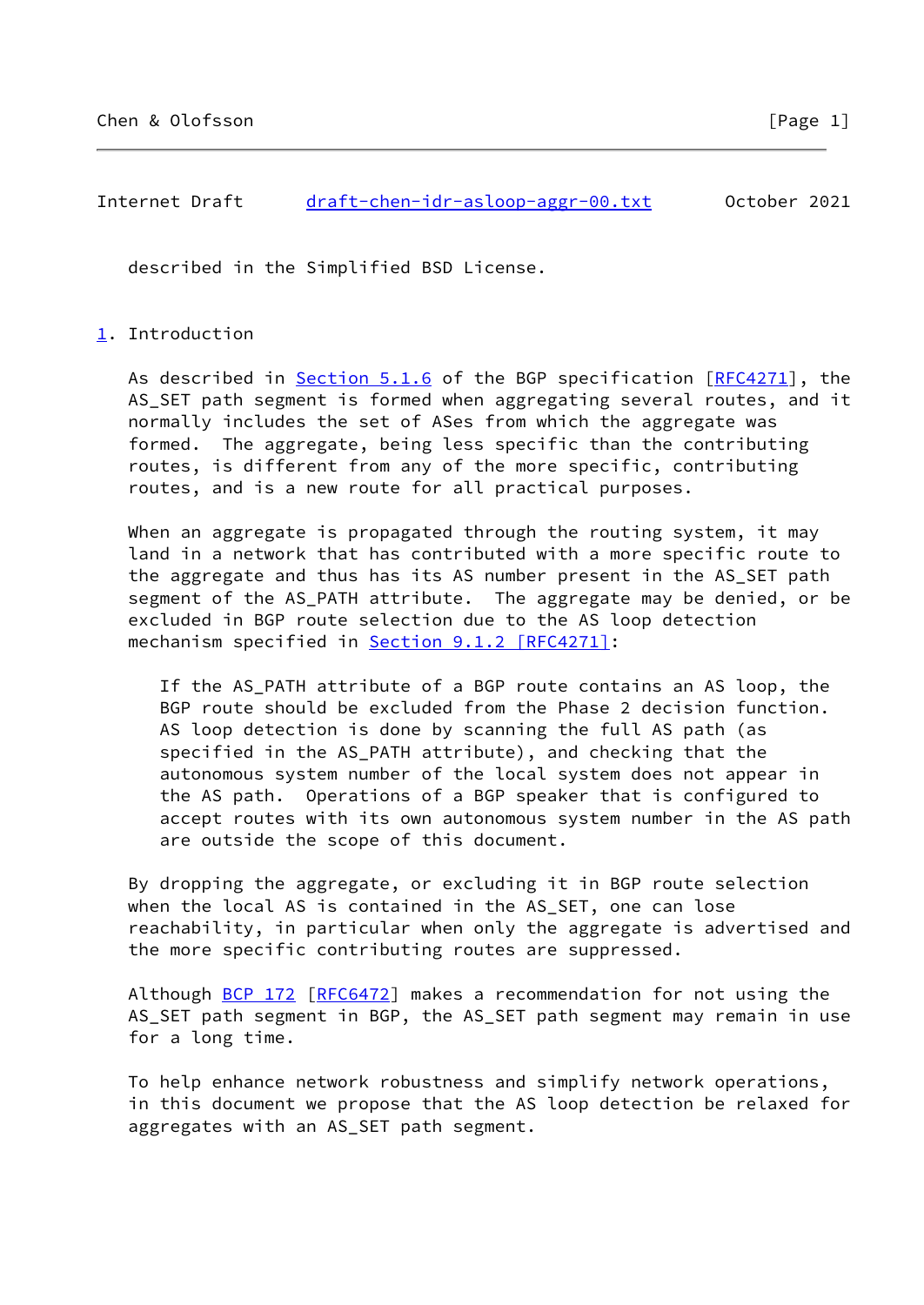## Internet Draft [draft-chen-idr-asloop-aggr-00.txt](https://datatracker.ietf.org/doc/pdf/draft-chen-idr-asloop-aggr-00.txt) 0ctober 2021

described in the Simplified BSD License.

## <span id="page-1-0"></span>[1](#page-1-0). Introduction

As described in Section 5.1.6 of the BGP specification [\[RFC4271](https://datatracker.ietf.org/doc/pdf/rfc4271)], the AS\_SET path segment is formed when aggregating several routes, and it normally includes the set of ASes from which the aggregate was formed. The aggregate, being less specific than the contributing routes, is different from any of the more specific, contributing routes, and is a new route for all practical purposes.

When an aggregate is propagated through the routing system, it may land in a network that has contributed with a more specific route to the aggregate and thus has its AS number present in the AS\_SET path segment of the AS\_PATH attribute. The aggregate may be denied, or be excluded in BGP route selection due to the AS loop detection mechanism specified in Section [9.1.2 \[RFC4271\]](https://datatracker.ietf.org/doc/pdf/rfc4271#section-9.1.2):

If the AS PATH attribute of a BGP route contains an AS loop, the BGP route should be excluded from the Phase 2 decision function. AS loop detection is done by scanning the full AS path (as specified in the AS\_PATH attribute), and checking that the autonomous system number of the local system does not appear in the AS path. Operations of a BGP speaker that is configured to accept routes with its own autonomous system number in the AS path are outside the scope of this document.

 By dropping the aggregate, or excluding it in BGP route selection when the local AS is contained in the AS\_SET, one can lose reachability, in particular when only the aggregate is advertised and the more specific contributing routes are suppressed.

Although [BCP 172](https://datatracker.ietf.org/doc/pdf/bcp172) [\[RFC6472](https://datatracker.ietf.org/doc/pdf/rfc6472)] makes a recommendation for not using the AS\_SET path segment in BGP, the AS\_SET path segment may remain in use for a long time.

 To help enhance network robustness and simplify network operations, in this document we propose that the AS loop detection be relaxed for aggregates with an AS\_SET path segment.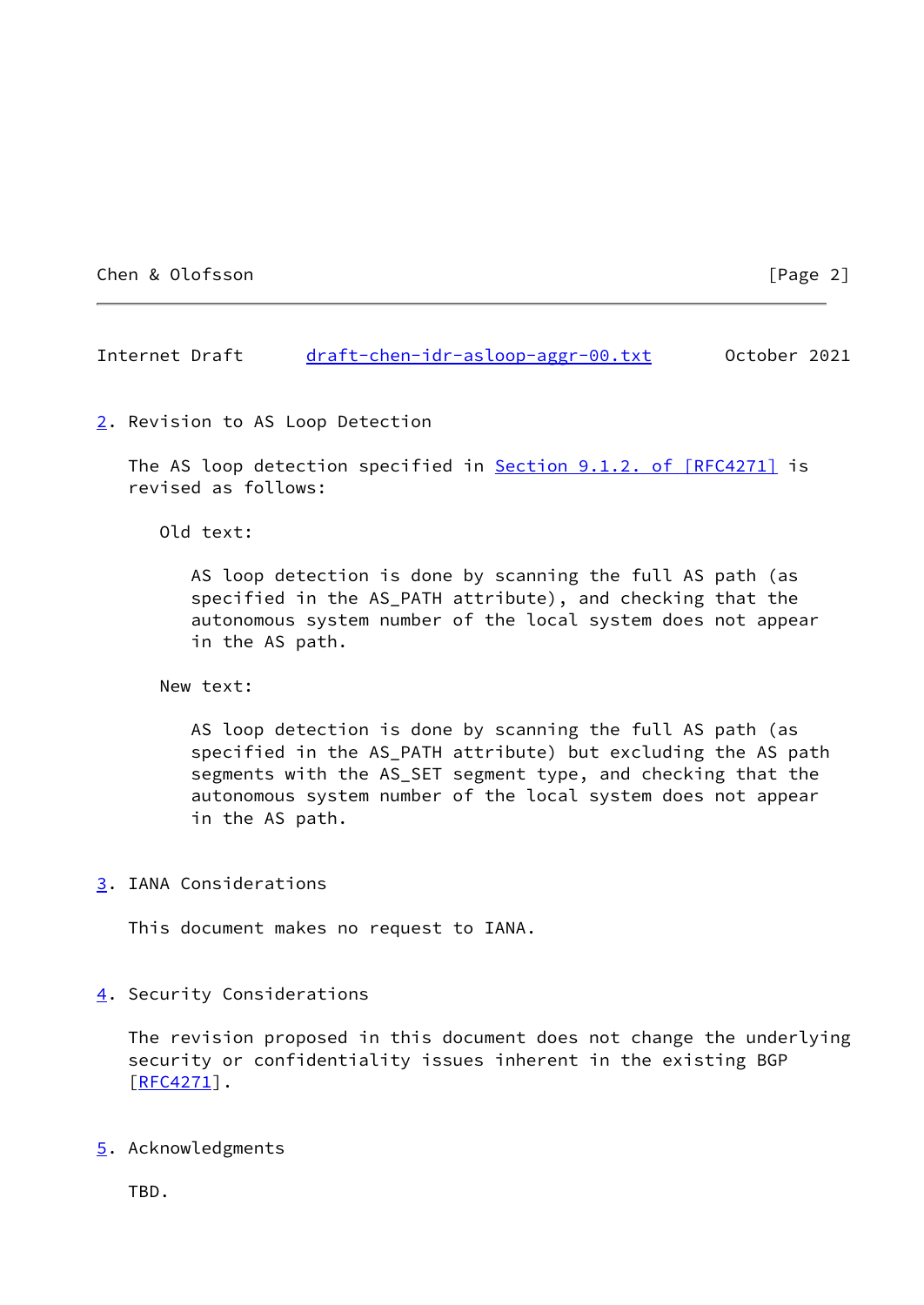Chen & Olofsson [Page 2]

Internet Draft [draft-chen-idr-asloop-aggr-00.txt](https://datatracker.ietf.org/doc/pdf/draft-chen-idr-asloop-aggr-00.txt) 0ctober 2021

<span id="page-2-0"></span>[2](#page-2-0). Revision to AS Loop Detection

The AS loop detection specified in **Section [9.1.2. of \[RFC4271\]](https://datatracker.ietf.org/doc/pdf/rfc4271#section-9.1.2)** is revised as follows:

Old text:

 AS loop detection is done by scanning the full AS path (as specified in the AS\_PATH attribute), and checking that the autonomous system number of the local system does not appear in the AS path.

New text:

 AS loop detection is done by scanning the full AS path (as specified in the AS\_PATH attribute) but excluding the AS path segments with the AS\_SET segment type, and checking that the autonomous system number of the local system does not appear in the AS path.

<span id="page-2-1"></span>[3](#page-2-1). IANA Considerations

This document makes no request to IANA.

<span id="page-2-2"></span>[4](#page-2-2). Security Considerations

 The revision proposed in this document does not change the underlying security or confidentiality issues inherent in the existing BGP [\[RFC4271](https://datatracker.ietf.org/doc/pdf/rfc4271)].

<span id="page-2-3"></span>[5](#page-2-3). Acknowledgments

TBD.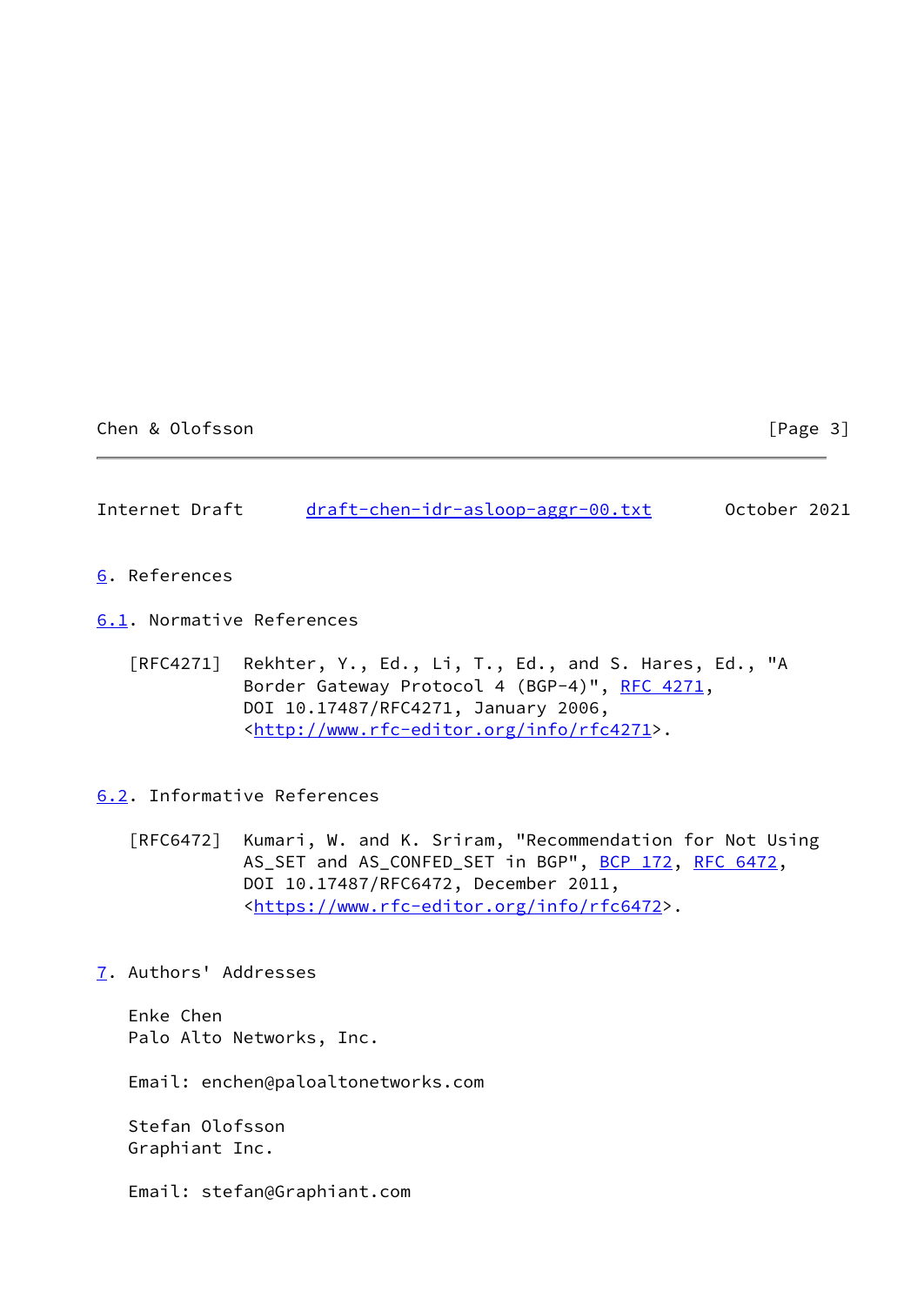## Chen & Olofsson [Page 3]

Internet Draft [draft-chen-idr-asloop-aggr-00.txt](https://datatracker.ietf.org/doc/pdf/draft-chen-idr-asloop-aggr-00.txt) 0ctober 2021

- <span id="page-3-0"></span>[6](#page-3-0). References
- <span id="page-3-1"></span>[6.1](#page-3-1). Normative References
	- [RFC4271] Rekhter, Y., Ed., Li, T., Ed., and S. Hares, Ed., "A Border Gateway Protocol 4 (BGP-4)", [RFC 4271,](https://datatracker.ietf.org/doc/pdf/rfc4271) DOI 10.17487/RFC4271, January 2006, <<http://www.rfc-editor.org/info/rfc4271>>.
- <span id="page-3-2"></span>[6.2](#page-3-2). Informative References
	- [RFC6472] Kumari, W. and K. Sriram, "Recommendation for Not Using AS\_SET and AS\_CONFED\_SET in BGP", [BCP 172](https://datatracker.ietf.org/doc/pdf/bcp172), [RFC 6472](https://datatracker.ietf.org/doc/pdf/rfc6472), DOI 10.17487/RFC6472, December 2011, <[https://www.rfc-editor.org/info/rfc6472>](https://www.rfc-editor.org/info/rfc6472).
- <span id="page-3-3"></span>[7](#page-3-3). Authors' Addresses

 Enke Chen Palo Alto Networks, Inc.

Email: enchen@paloaltonetworks.com

 Stefan Olofsson Graphiant Inc.

Email: stefan@Graphiant.com